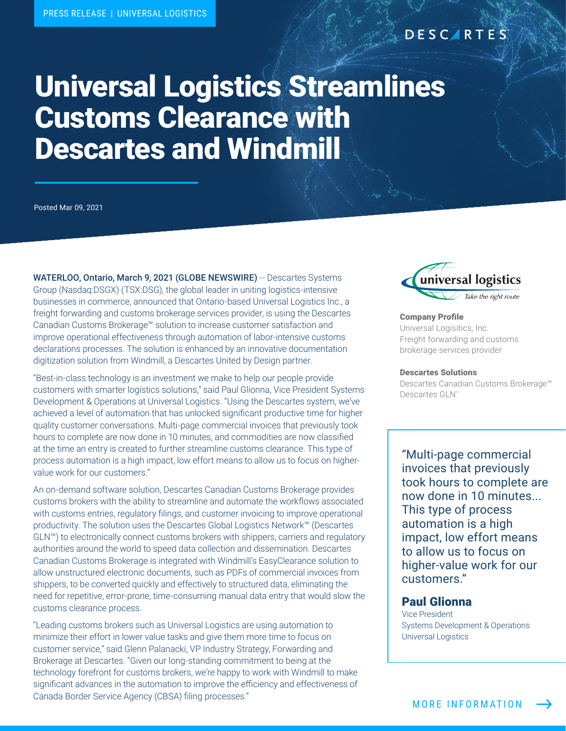## **DESCARTES**

# Universal Logistics Streamlines Customs Clearance with Descartes and Windmill

Posted Mar 09, 2021

WATERLOO, Ontario, March 9, 2021 (GLOBE NEWSWIRE) -- Descartes Systems Group (Nasdaq:DSGX) (TSX:DSG), the global leader in uniting logistics-intensive businesses in commerce, announced that Ontario-based Universal Logistics Inc., a freight forwarding and customs brokerage services provider, is using the Descartes Canadian Customs Brokerage™ solution to increase customer satisfaction and improve operational effectiveness through automation of labor-intensive customs declarations processes. The solution is enhanced by an innovative documentation digitization solution from Windmill, a Descartes United by Design partner.

"Best-in-class technology is an investment we make to help our people provide customers with smarter logistics solutions," said Paul Glionna, Vice President Systems Development & Operations at Universal Logistics. "Using the Descartes system, we've achieved a level of automation that has unlocked significant productive time for higher quality customer conversations. Multi-page commercial invoices that previously took hours to complete are now done in 10 minutes, and commodities are now classified at the time an entry is created to further streamline customs clearance. This type of process automation is a high impact, low effort means to allow us to focus on highervalue work for our customers."

An on-demand software solution, Descartes Canadian Customs Brokerage provides customs brokers with the ability to streamline and automate the workflows associated with customs entries, regulatory filings, and customer invoicing to improve operational productivity. The solution uses the Descartes Global Logistics Network™ (Descartes GLN™) to electronically connect customs brokers with shippers, carriers and regulatory authorities around the world to speed data collection and dissemination. Descartes Canadian Customs Brokerage is integrated with Windmill's EasyClearance solution to allow unstructured electronic documents, such as PDFs of commercial invoices from shippers, to be converted quickly and effectively to structured data, eliminating the need for repetitive, error-prone, time-consuming manual data entry that would slow the customs clearance process.

"Leading customs brokers such as Universal Logistics are using automation to minimize their effort in lower value tasks and give them more time to focus on customer service," said Glenn Palanacki, VP Industry Strategy, Forwarding and Brokerage at Descartes. "Given our long-standing commitment to being at the technology forefront for customs brokers, we're happy to work with Windmill to make significant advances in the automation to improve the efficiency and effectiveness of Canada Border Service Agency (CBSA) filing processes."



#### Company Profile Universal Logisitics, Inc. Freight forwarding and customs brokerage services provider

#### Descartes Solutions

Descartes Canadian Customs Brokerage™ Descartes GLN™

"Multi-page commercial invoices that previously took hours to complete are now done in 10 minutes... This type of process automation is a high impact, low effort means to allow us to focus on higher-value work for our customers."

### Paul Glionna

Vice President Systems Development & Operations Universal Logistics